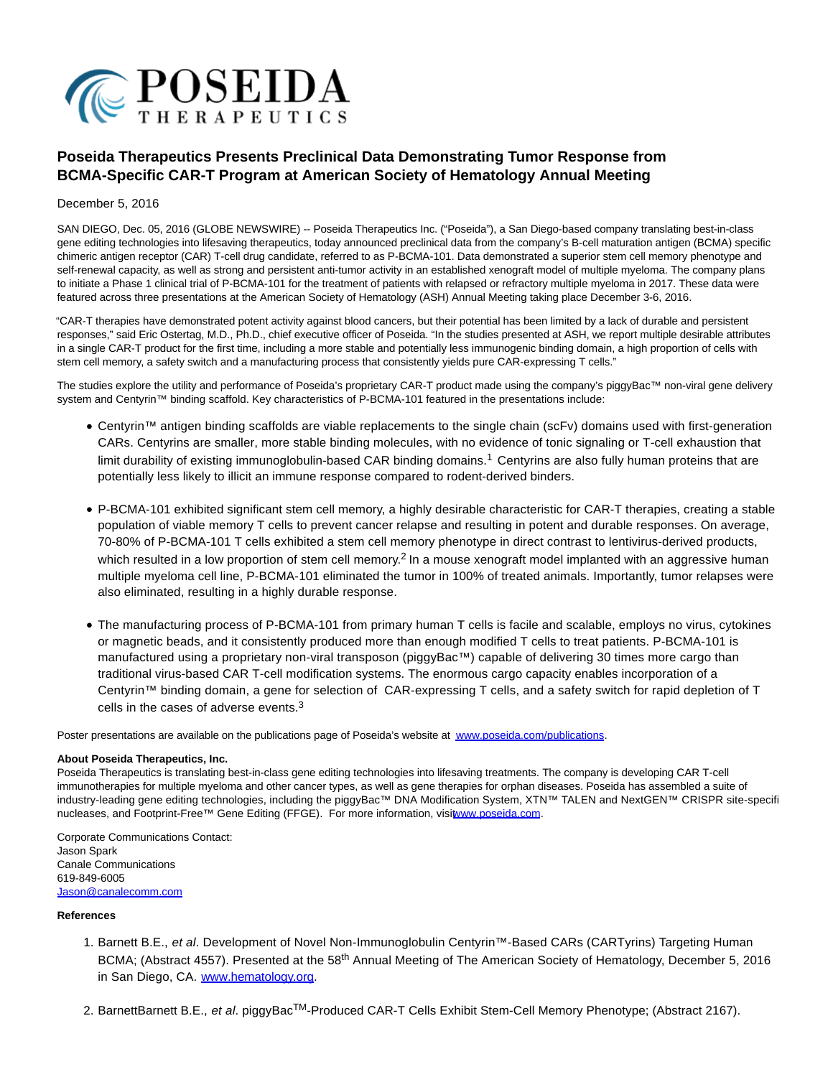

## **Poseida Therapeutics Presents Preclinical Data Demonstrating Tumor Response from BCMA-Specific CAR-T Program at American Society of Hematology Annual Meeting**

## December 5, 2016

SAN DIEGO, Dec. 05, 2016 (GLOBE NEWSWIRE) -- Poseida Therapeutics Inc. ("Poseida"), a San Diego-based company translating best-in-class gene editing technologies into lifesaving therapeutics, today announced preclinical data from the company's B-cell maturation antigen (BCMA) specific chimeric antigen receptor (CAR) T-cell drug candidate, referred to as P-BCMA-101. Data demonstrated a superior stem cell memory phenotype and self-renewal capacity, as well as strong and persistent anti-tumor activity in an established xenograft model of multiple myeloma. The company plans to initiate a Phase 1 clinical trial of P-BCMA-101 for the treatment of patients with relapsed or refractory multiple myeloma in 2017. These data were featured across three presentations at the American Society of Hematology (ASH) Annual Meeting taking place December 3-6, 2016.

"CAR-T therapies have demonstrated potent activity against blood cancers, but their potential has been limited by a lack of durable and persistent responses," said Eric Ostertag, M.D., Ph.D., chief executive officer of Poseida. "In the studies presented at ASH, we report multiple desirable attributes in a single CAR-T product for the first time, including a more stable and potentially less immunogenic binding domain, a high proportion of cells with stem cell memory, a safety switch and a manufacturing process that consistently yields pure CAR-expressing T cells."

The studies explore the utility and performance of Poseida's proprietary CAR-T product made using the company's piggyBac™ non-viral gene delivery system and Centyrin™ binding scaffold. Key characteristics of P-BCMA-101 featured in the presentations include:

- Centyrin™ antigen binding scaffolds are viable replacements to the single chain (scFv) domains used with first-generation CARs. Centyrins are smaller, more stable binding molecules, with no evidence of tonic signaling or T-cell exhaustion that limit durability of existing immunoglobulin-based CAR binding domains.<sup>1</sup> Centyrins are also fully human proteins that are potentially less likely to illicit an immune response compared to rodent-derived binders.
- P-BCMA-101 exhibited significant stem cell memory, a highly desirable characteristic for CAR-T therapies, creating a stable population of viable memory T cells to prevent cancer relapse and resulting in potent and durable responses. On average, 70-80% of P-BCMA-101 T cells exhibited a stem cell memory phenotype in direct contrast to lentivirus-derived products, which resulted in a low proportion of stem cell memory.<sup>2</sup> In a mouse xenograft model implanted with an aggressive human multiple myeloma cell line, P-BCMA-101 eliminated the tumor in 100% of treated animals. Importantly, tumor relapses were also eliminated, resulting in a highly durable response.
- The manufacturing process of P-BCMA-101 from primary human T cells is facile and scalable, employs no virus, cytokines or magnetic beads, and it consistently produced more than enough modified T cells to treat patients. P-BCMA-101 is manufactured using a proprietary non-viral transposon (piggyBac™) capable of delivering 30 times more cargo than traditional virus-based CAR T-cell modification systems. The enormous cargo capacity enables incorporation of a Centyrin™ binding domain, a gene for selection of CAR-expressing T cells, and a safety switch for rapid depletion of T cells in the cases of adverse events.<sup>3</sup>

Poster presentations are available on the publications page of Poseida's website at [www.poseida.com/publications.](https://www.globenewswire.com/Tracker?data=FxHm-Xeurq6-SNdCaxGuVgqLXQbwSpkomMVBcDGOHRcaN3PKcSUo7ulSn9ONLEPaJfUvRy59EqQa4Juq46eGc9nl0z9ZXPFzyEi7VTC3HFvm5Xg44bK4EO-9FpLnCEVT)

## **About Poseida Therapeutics, Inc.**

Poseida Therapeutics is translating best-in-class gene editing technologies into lifesaving treatments. The company is developing CAR T-cell immunotherapies for multiple myeloma and other cancer types, as well as gene therapies for orphan diseases. Poseida has assembled a suite of industry-leading gene editing technologies, including the piggyBac™ DNA Modification System, XTN™ TALEN and NextGEN™ CRISPR site-specific nucleases, and Footprint-Free™ Gene Editing (FFGE). For more information, vis[it www.poseida.com.](https://www.globenewswire.com/Tracker?data=FxHm-Xeurq6-SNdCaxGuVrraKP2DNBNwbgvrhYk4Kuh5pracZrVBeAMLOy_u3ZCGory_ZpdoWT-ycgJD_6pLbg==)

Corporate Communications Contact: Jason Spark Canale Communications 619-849-6005 [Jason@canalecomm.com](https://www.globenewswire.com/Tracker?data=yKm5Rk8u032gWe1dLPs9JSHJBCx6VCnNkD0ucZFduvrxsMzCT1kkv1R-oXjgbc2e2p-F4tS8yCgdXAlBs8tBtPHL2qZN3WqA9a-kB1abDCE=)

## **References**

- 1. Barnett B.E., et al. Development of Novel Non-Immunoglobulin Centyrin™-Based CARs (CARTyrins) Targeting Human BCMA; (Abstract 4557). Presented at the 58<sup>th</sup> Annual Meeting of The American Society of Hematology, December 5, 2016 in San Diego, CA. [www.hematology.org.](http://globenewswire.com/Tracker?data=_r-v8BTv46B-VbsCgE4haN38dEPEhfdfn-gcAOq51XOBze8dScjbGk2Hbv8uJ4e8SALNFKDT_hZcktgZ2bdnNg%3D%3D)
- 2. BarnettBarnett B.E., et al. piggyBac<sup>TM</sup>-Produced CAR-T Cells Exhibit Stem-Cell Memory Phenotype; (Abstract 2167).